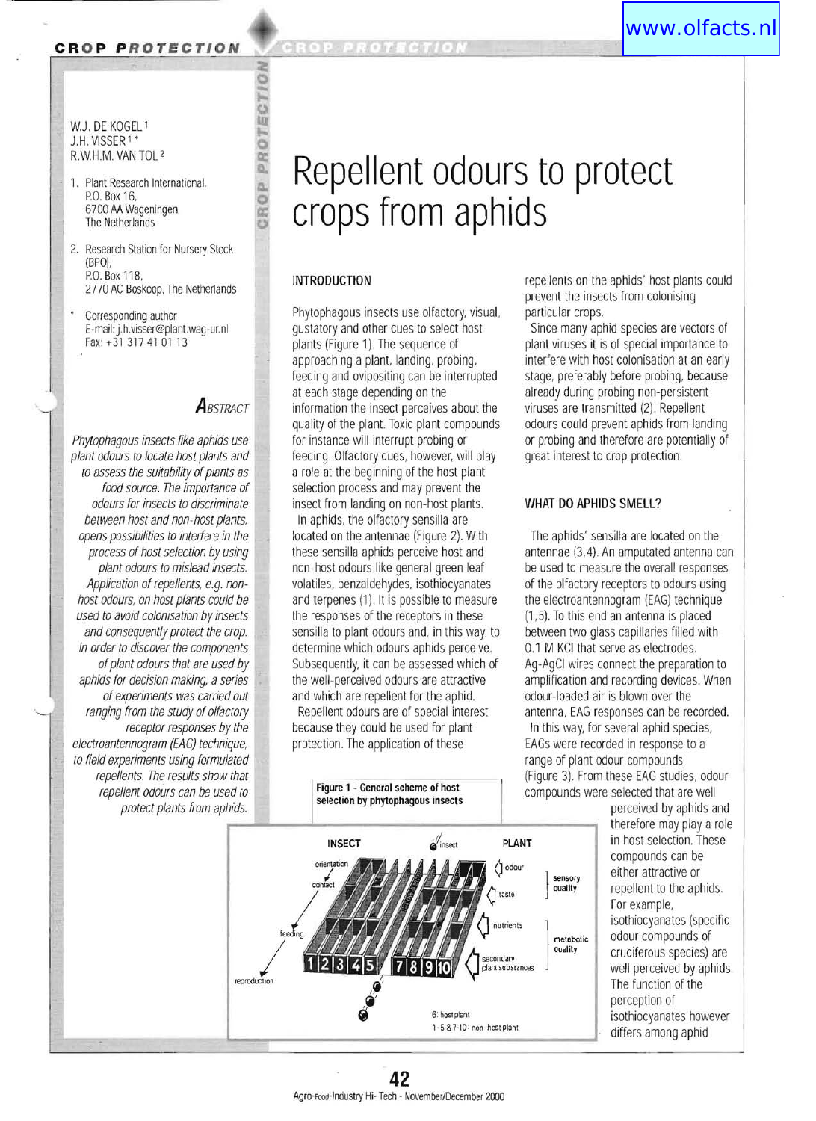### **CR O P P RO T ECTION**

#### w.J. DE KOGEL 1 J.H. VISSER 1 • R.w.H.M. VAN TOl 2

- 1. Plant Research International, P.O. Box 16, 6700 AA Wageningen, The Netherlands
- 2. Research Station for Nursery Stock (BPO), P.O. Box 118, 2770 AC Boskoop, The Netherlands
- Corresponding author E-mail: j.h.visser@plant.wag-ur.nl Fax: +31 317 41 01 13

I

## *ABSTRACT*

**CROP PROTECTION** 

Phytophagous insects like aphids use plant odours to locate host plants and to assess the suitability of plants as food source. The importance of odours for insects to discriminate between host and non-host plants, opens possibilities to interfere in the process of host selection by using plant odours to mislead insects. Application of repellents, e.g. nonhost odours, on host plants could be used to avoid colonisation by insects and consequently protect the crop. In order to discover the components of plant odours that are used by aphids for decision making, a series of experiments was carried out ranging from the study of olfactory receptor responses by the electroantennogram (EAG) technique, to field experiments using formulated repel/ents. The results show that repellent odours can be used to protect plants from aphids.

# **Repellent odours to protect crops from aphids**

### INTRODUCTION

Phytophagous insects use olfactory, visual. gustatory and other cues to select host plants (Figure 1). The sequence of approaching a plant. landing, probing, feeding and ovipositing can be interrupted at each stage depending on the information the insect perceives about the quality of the plant. Toxic plant compounds for instance will interrupt probing or feeding. Olfactory cues, however, will play a role at the beginning of the host plant selection process and may prevent the insect from landing on non-host plants.

In aphids, the olfactory sensilla are located on the antennae (Figure 2). With these sensilla aphids perceive host and non-host odours like general green leaf volatiles, benzaldehydes, isothiocyanates and terpenes (1). It is possible to measure the responses of the receptors in these sensilla to plant odours and, in this way, to determine which odours aphids perceive. Subsequently, it can be assessed which of the well-perceived odours are attractive and which are repellent for the aphid.

Repellent odours are of special interest because they could be used for plant protection. The application of these

> Figure 1 - General scheme of host selection by phytophagous insects

repellents on the aphids' host plants could prevent the insects from colonising particular crops.

Since many aphid species are vectors of plant viruses it is of special importance to interfere with host colonisation at an early stage, preferably before probing, because already during probing non-persistent viruses are transmitted (2). Repellent odours could prevent aphids from landing or probing and therefore are potentially of great interest to crop protection.

### WHAT DO APHIDS SMELL?

(Figure 3). From these EAG studies, odour compounds were selected that are well The aphids' sensilla are located on the antennae (3,4). An amputated antenna can be used to measure the overall responses of the olfactory receptors to odours using the electroantennogram (EAG) technique (1,5). To this end an antenna is placed between two glass capillaries filled with 0.1 M KCI that serve as electrodes. Ag-AgCI wires connect the preparation to amplification and recording devices. When odour-loaded air is blown over the antenna, EAG responses can be recorded. In this way, for several aphid species, EAGs were recorded in response to a range of plant odour compounds



perceived by aphids and therefore may play a role in host selection. These compounds can be either attractive or repellent to the aphids. For example, isothiocyanates (specific odour compounds of cruciferous species) are well perceived by aphids. The function of the perception of isothiocyanates however differs among aphid

# A2<br>Agro-Food-Industry Hi-Tech - November/December 2000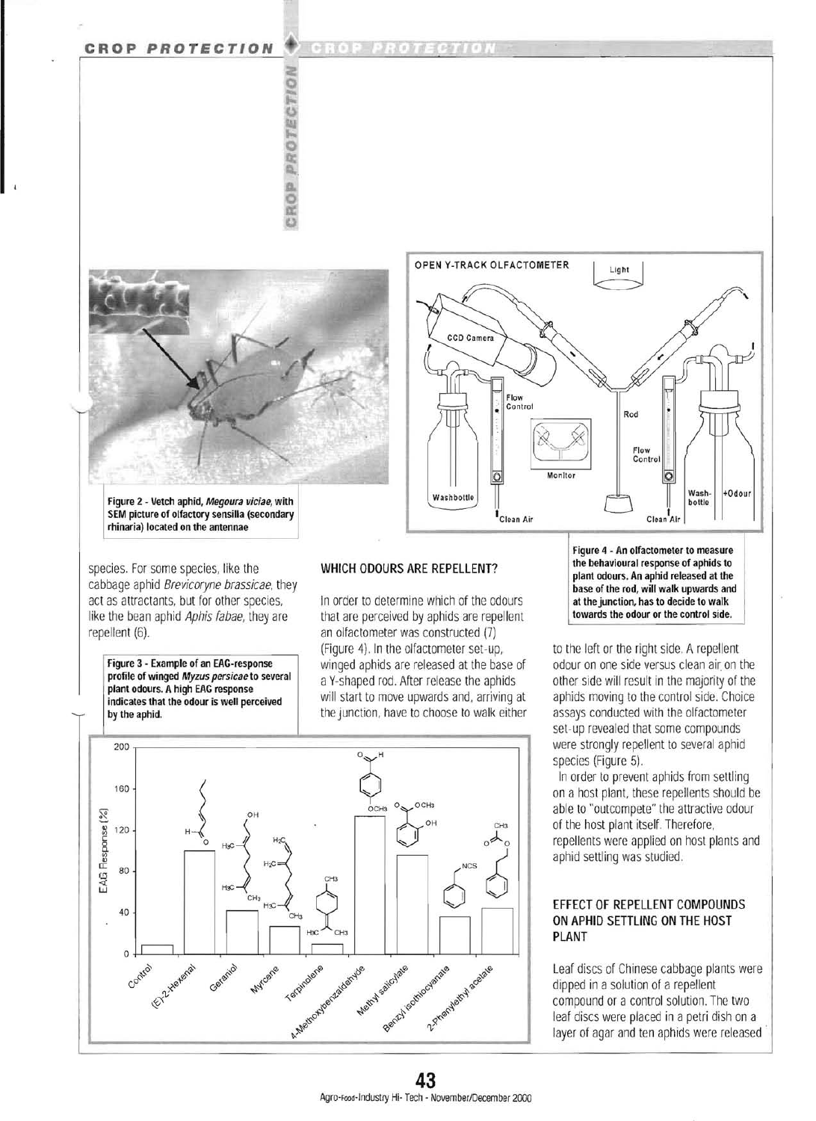### **CROP PROTECTION**







Figure 2 - Vetch aphid, Megoura viciae, with SEM picture of olfactory sensilla (secondary rhinaria) located on the antennae

species. For some species, like the cabbage aphid Brevicoryne brassicae, they act as attractants, but for other species, like the bean aphid Aphis fabae, they are repellent (6).

Figure 3 - Example of an EAG-response profile of winged Myzus persicae to several plant odours. A high EAG response indicates that the odour is well perceived

by the aphid.

WHICH ODOURS ARE REPELLENT?

In order to determine which of the odours that are perceived by aphids are repellent an olfactometer was constructed (7) (Figure 4) In the olfactometer set-up, winged aphids are released at the base of a Y-shaped rod. After release the aphids will start to move upwards and, arriving at the junction, have to choose to walk either



Figure 4 - An olfactometer to measure the behavioural response of aphids to plant odours. An aphid released at the base of the rod, will walk upwards and at the junction, has to decide to walk towards the odour or the control side.

to the left or the right side. A repellent odour on one side versus clean air on the other side will result in the majority of the aphids moving to the control side. Choice assays conducted with the olfactometer set-up revealed that some compounds were strongly repellent to several aphid species (Figure 5).

In order to prevent aphids from settling on a host plant, these repellents should be able to "outcompete" the attractive odour of the host plant itself. Therefore, repellents were applied on host plants and aphid settling was studied.

### EFFECT OF REPELLENT COMPOUNDS ON APHID SETTLING ON THE HOST PLANT

Leaf discs of Chinese cabbage plants were dipped in a solution of a repellent compound or a control solution. The two leaf discs were placed in a petri dish on a layer of agar and ten aphids were released